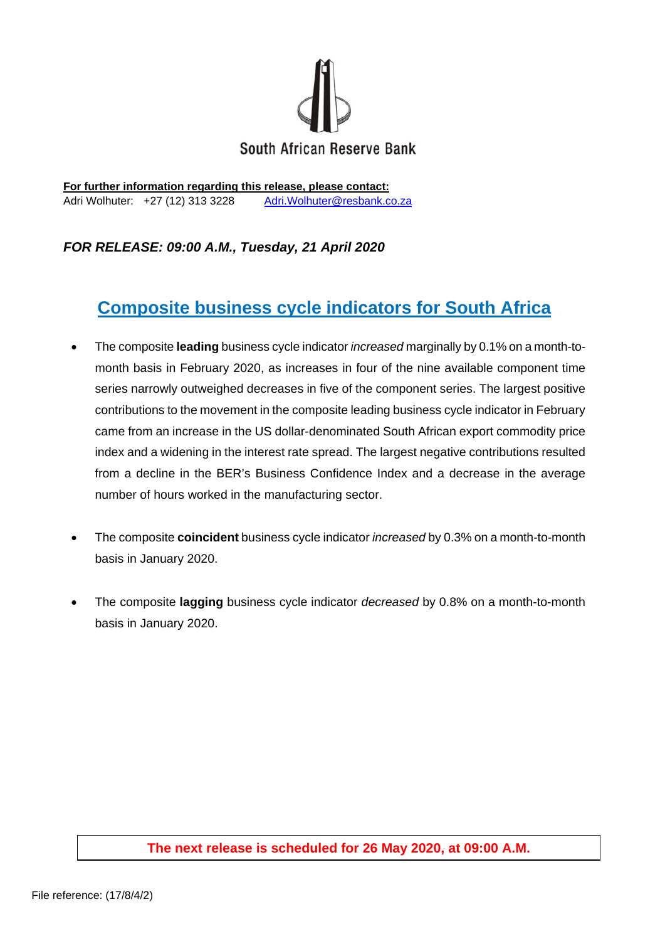

**For further information regarding this release, please contact:**  Adri Wolhuter: +27 (12) 313 3228 Adri. Wolhuter@resbank.co.za

## *FOR RELEASE: 09:00 A.M., Tuesday, 21 April 2020*

## **Composite business cycle indicators for South Africa**

- The composite **leading** business cycle indicator *increased* marginally by 0.1% on a month-tomonth basis in February 2020, as increases in four of the nine available component time series narrowly outweighed decreases in five of the component series. The largest positive contributions to the movement in the composite leading business cycle indicator in February came from an increase in the US dollar-denominated South African export commodity price index and a widening in the interest rate spread. The largest negative contributions resulted from a decline in the BER's Business Confidence Index and a decrease in the average number of hours worked in the manufacturing sector.
- The composite **coincident** business cycle indicator *increased* by 0.3% on a month-to-month basis in January 2020.
- The composite **lagging** business cycle indicator *decreased* by 0.8% on a month-to-month basis in January 2020.

## **The next release is scheduled for 26 May 2020, at 09:00 A.M.**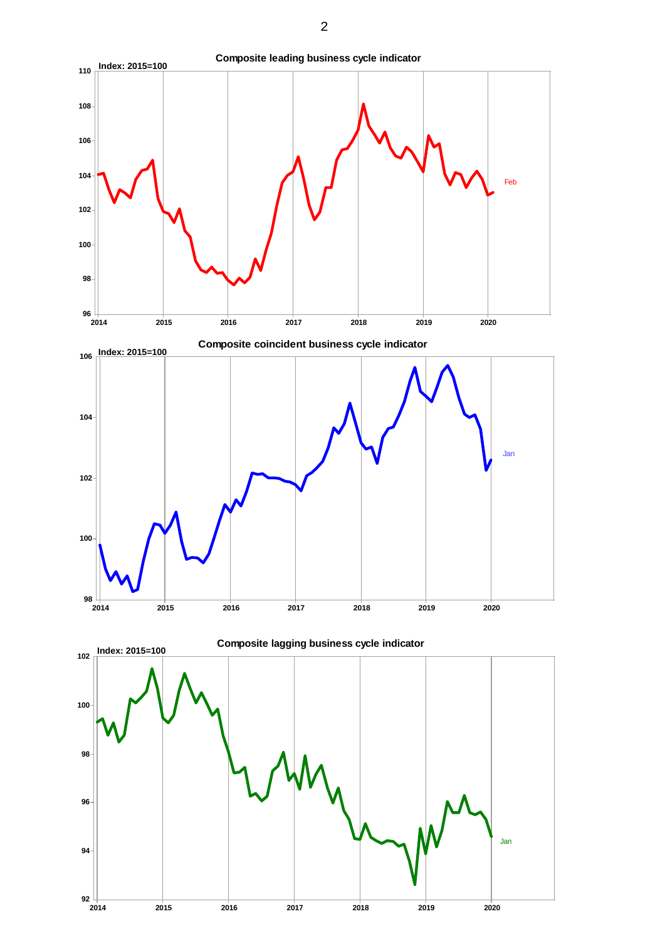